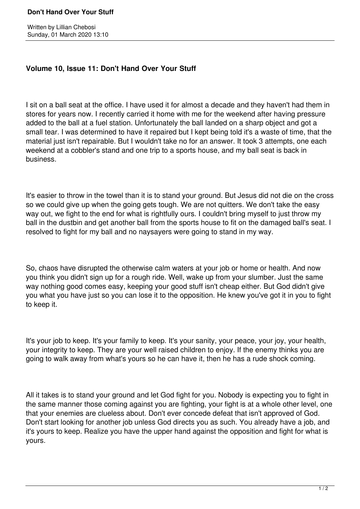## **Don't Hand Over Your Stuff**

## **Volume 10, Issue 11: Don't Hand Over Your Stuff**

I sit on a ball seat at the office. I have used it for almost a decade and they haven't had them in stores for years now. I recently carried it home with me for the weekend after having pressure added to the ball at a fuel station. Unfortunately the ball landed on a sharp object and got a small tear. I was determined to have it repaired but I kept being told it's a waste of time, that the material just isn't repairable. But I wouldn't take no for an answer. It took 3 attempts, one each weekend at a cobbler's stand and one trip to a sports house, and my ball seat is back in business.

It's easier to throw in the towel than it is to stand your ground. But Jesus did not die on the cross so we could give up when the going gets tough. We are not quitters. We don't take the easy way out, we fight to the end for what is rightfully ours. I couldn't bring myself to just throw my ball in the dustbin and get another ball from the sports house to fit on the damaged ball's seat. I resolved to fight for my ball and no naysayers were going to stand in my way.

So, chaos have disrupted the otherwise calm waters at your job or home or health. And now you think you didn't sign up for a rough ride. Well, wake up from your slumber. Just the same way nothing good comes easy, keeping your good stuff isn't cheap either. But God didn't give you what you have just so you can lose it to the opposition. He knew you've got it in you to fight to keep it.

It's your job to keep. It's your family to keep. It's your sanity, your peace, your joy, your health, your integrity to keep. They are your well raised children to enjoy. If the enemy thinks you are going to walk away from what's yours so he can have it, then he has a rude shock coming.

All it takes is to stand your ground and let God fight for you. Nobody is expecting you to fight in the same manner those coming against you are fighting, your fight is at a whole other level, one that your enemies are clueless about. Don't ever concede defeat that isn't approved of God. Don't start looking for another job unless God directs you as such. You already have a job, and it's yours to keep. Realize you have the upper hand against the opposition and fight for what is yours.